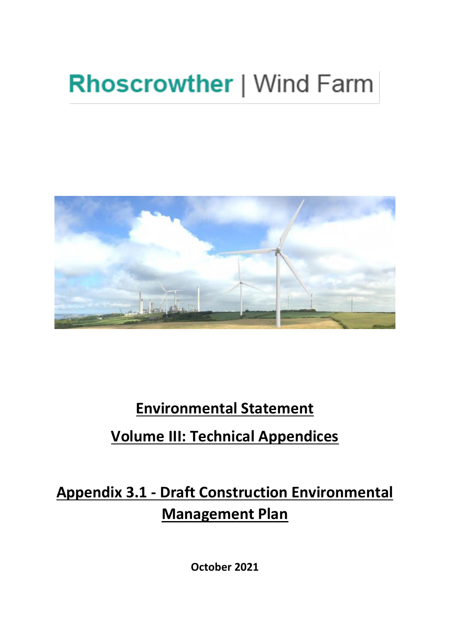# **Rhoscrowther | Wind Farm**



# **Environmental Statement**

## **Volume III: Technical Appendices**

**Appendix 3.1 - Draft Construction Environmental Management Plan** 

**October 2021**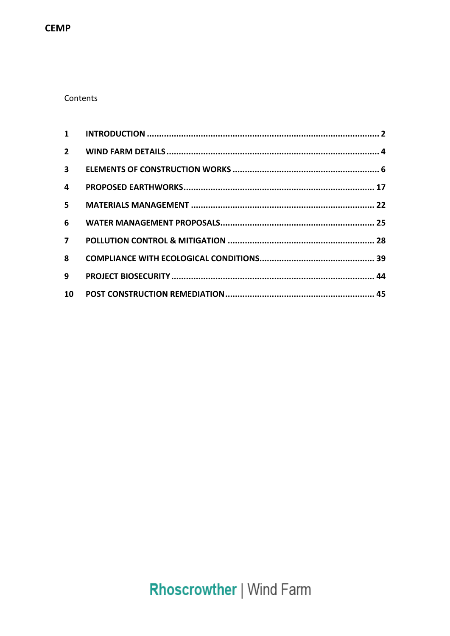**CEMP** 

### Contents

| $2^{\circ}$    |  |
|----------------|--|
|                |  |
| 4              |  |
| $5 -$          |  |
| 6              |  |
| $\overline{7}$ |  |
| 8              |  |
| 9              |  |
|                |  |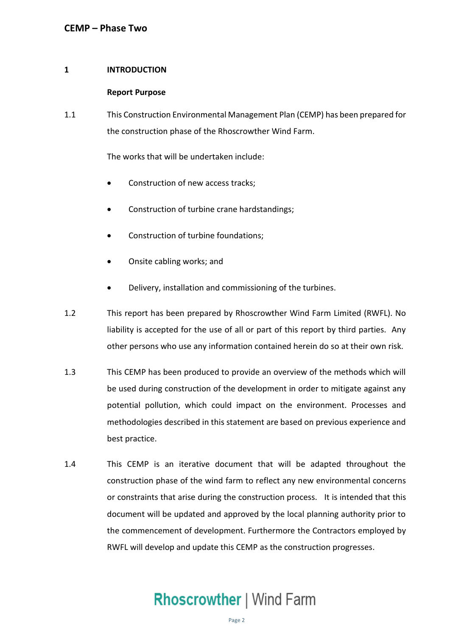### <span id="page-2-0"></span>**1 INTRODUCTION**

### **Report Purpose**

 1.1 This Construction Environmental Management Plan (CEMP) has been prepared for the construction phase of the Rhoscrowther Wind Farm.

The works that will be undertaken include:

- Construction of new access tracks;
- Construction of turbine crane hardstandings;
- Construction of turbine foundations;
- Onsite cabling works; and
- Delivery, installation and commissioning of the turbines.
- 1.2 This report has been prepared by Rhoscrowther Wind Farm Limited (RWFL). No liability is accepted for the use of all or part of this report by third parties. Any other persons who use any information contained herein do so at their own risk.
- 1.3 This CEMP has been produced to provide an overview of the methods which will be used during construction of the development in order to mitigate against any potential pollution, which could impact on the environment. Processes and methodologies described in this statement are based on previous experience and best practice.
- 1.4 This CEMP is an iterative document that will be adapted throughout the construction phase of the wind farm to reflect any new environmental concerns or constraints that arise during the construction process. It is intended that this document will be updated and approved by the local planning authority prior to the commencement of development. Furthermore the Contractors employed by RWFL will develop and update this CEMP as the construction progresses.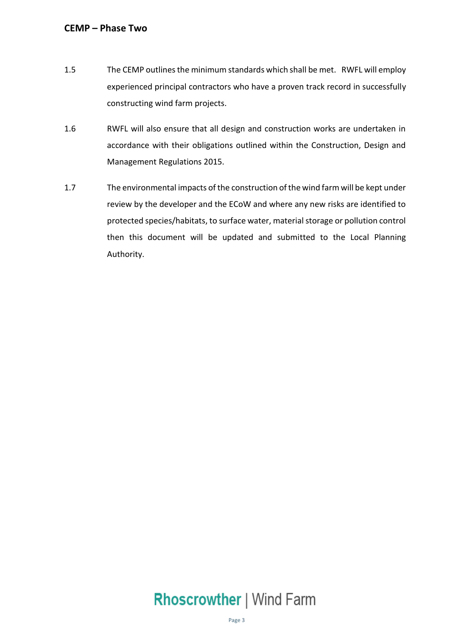- experienced principal contractors who have a proven track record in successfully constructing wind farm projects. 1.5 The CEMP outlines the minimum standards which shall be met. RWFL will employ
- 1.6 RWFL will also ensure that all design and construction works are undertaken in accordance with their obligations outlined within the Construction, Design and Management Regulations 2015.
- 1.7 The environmental impacts of the construction of the wind farm will be kept under review by the developer and the ECoW and where any new risks are identified to protected species/habitats, to surface water, material storage or pollution control then this document will be updated and submitted to the Local Planning Authority.

# Authority.<br>Rhoscrowther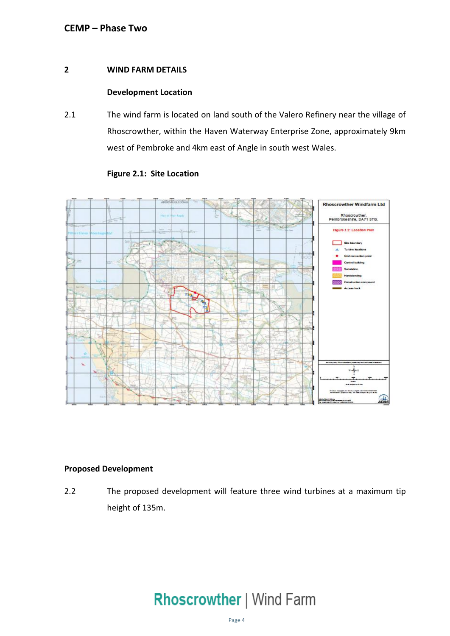### <span id="page-4-0"></span>**2 WIND FARM DETAILS**

### **Development Location**

 2.1 The wind farm is located on land south of the Valero Refinery near the village of Rhoscrowther, within the Haven Waterway Enterprise Zone, approximately 9km west of Pembroke and 4km east of Angle in south west Wales.



### **Figure 2.1: Site Location**

### **Proposed Development**

 The proposed development will feature three wind turbines at a maximum tip height of 135m. 2.2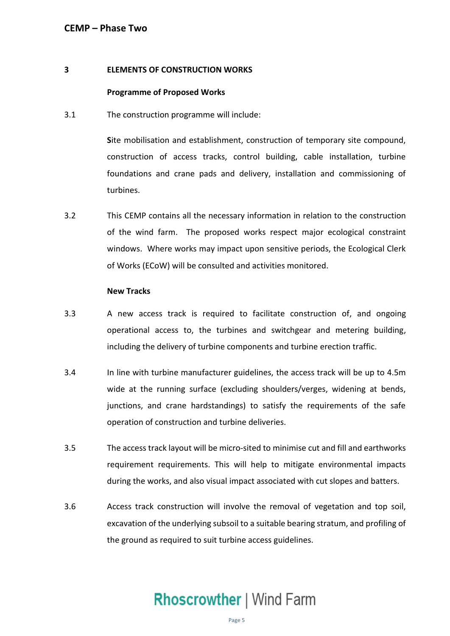### **3 ELEMENTS OF CONSTRUCTION WORKS**

### **Programme of Proposed Works**

3.1 The construction programme will include:

 **S**ite mobilisation and establishment, construction of temporary site compound, construction of access tracks, control building, cable installation, turbine foundations and crane pads and delivery, installation and commissioning of turbines.

 3.2 This CEMP contains all the necessary information in relation to the construction of the wind farm. The proposed works respect major ecological constraint windows. Where works may impact upon sensitive periods, the Ecological Clerk of Works (ECoW) will be consulted and activities monitored.

### **New Tracks**

- 3.3 A new access track is required to facilitate construction of, and ongoing operational access to, the turbines and switchgear and metering building, including the delivery of turbine components and turbine erection traffic.
- 3.4 In line with turbine manufacturer guidelines, the access track will be up to 4.5m wide at the running surface (excluding shoulders/verges, widening at bends, junctions, and crane hardstandings) to satisfy the requirements of the safe operation of construction and turbine deliveries.
- 3.5 The access track layout will be micro-sited to minimise cut and fill and earthworks requirement requirements. This will help to mitigate environmental impacts during the works, and also visual impact associated with cut slopes and batters.
- 3.6 Access track construction will involve the removal of vegetation and top soil, excavation of the underlying subsoil to a suitable bearing stratum, and profiling of the ground as required to suit turbine access guidelines.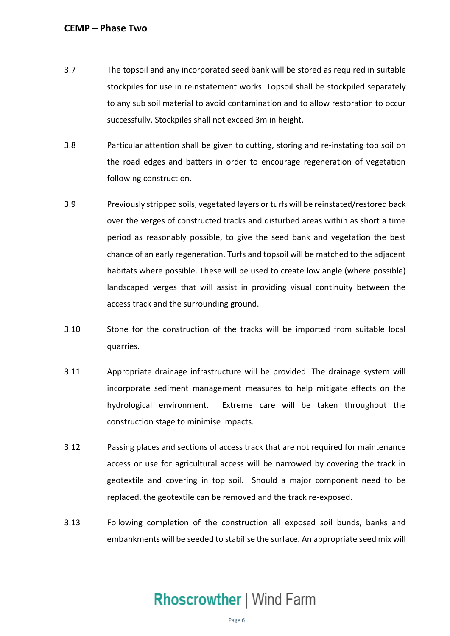- <span id="page-6-0"></span> 3.7 The topsoil and any incorporated seed bank will be stored as required in suitable stockpiles for use in reinstatement works. Topsoil shall be stockpiled separately to any sub soil material to avoid contamination and to allow restoration to occur successfully. Stockpiles shall not exceed 3m in height.
- 3.8 Particular attention shall be given to cutting, storing and re-instating top soil on the road edges and batters in order to encourage regeneration of vegetation following construction.
- 3.9 Previously stripped soils, vegetated layers or turfs will be reinstated/restored back over the verges of constructed tracks and disturbed areas within as short a time period as reasonably possible, to give the seed bank and vegetation the best chance of an early regeneration. Turfs and topsoil will be matched to the adjacent habitats where possible. These will be used to create low angle (where possible) landscaped verges that will assist in providing visual continuity between the access track and the surrounding ground.
- 3.10 Stone for the construction of the tracks will be imported from suitable local quarries.
- incorporate sediment management measures to help mitigate effects on the 3.11 Appropriate drainage infrastructure will be provided. The drainage system will hydrological environment. Extreme care will be taken throughout the construction stage to minimise impacts.
- 3.12 Passing places and sections of access track that are not required for maintenance access or use for agricultural access will be narrowed by covering the track in geotextile and covering in top soil. Should a major component need to be replaced, the geotextile can be removed and the track re-exposed.
- 3.13 Following completion of the construction all exposed soil bunds, banks and embankments will be seeded to stabilise the surface. An appropriate seed mix will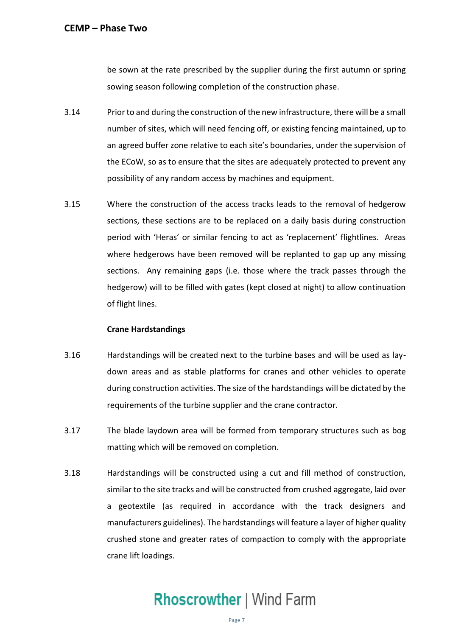be sown at the rate prescribed by the supplier during the first autumn or spring sowing season following completion of the construction phase.

- 3.14 Prior to and during the construction of the new infrastructure, there will be a small number of sites, which will need fencing off, or existing fencing maintained, up to an agreed buffer zone relative to each site's boundaries, under the supervision of the ECoW, so as to ensure that the sites are adequately protected to prevent any possibility of any random access by machines and equipment.
- 3.15 Where the construction of the access tracks leads to the removal of hedgerow sections, these sections are to be replaced on a daily basis during construction period with 'Heras' or similar fencing to act as 'replacement' flightlines. Areas where hedgerows have been removed will be replanted to gap up any missing sections. Any remaining gaps (i.e. those where the track passes through the hedgerow) will to be filled with gates (kept closed at night) to allow continuation of flight lines.

### **Crane Hardstandings**

- 3.16 Hardstandings will be created next to the turbine bases and will be used as lay- down areas and as stable platforms for cranes and other vehicles to operate during construction activities. The size of the hardstandings will be dictated by the requirements of the turbine supplier and the crane contractor.
- 3.17 The blade laydown area will be formed from temporary structures such as bog matting which will be removed on completion.
- 3.18 Hardstandings will be constructed using a cut and fill method of construction, similar to the site tracks and will be constructed from crushed aggregate, laid over a geotextile (as required in accordance with the track designers and manufacturers guidelines). The hardstandings will feature a layer of higher quality crushed stone and greater rates of compaction to comply with the appropriate crane lift loadings.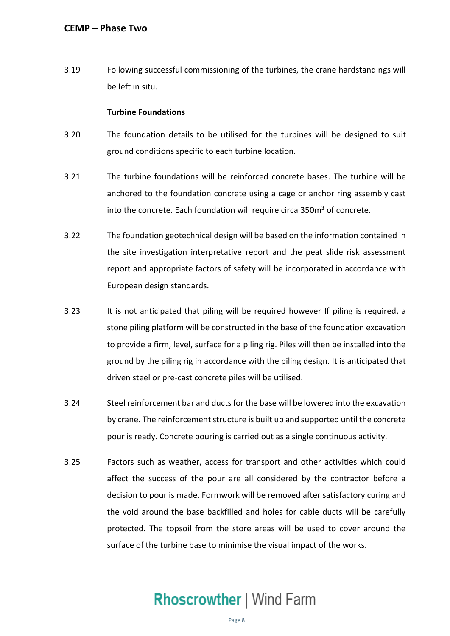3.19 Following successful commissioning of the turbines, the crane hardstandings will be left in situ.

### **Turbine Foundations**

- 3.20 The foundation details to be utilised for the turbines will be designed to suit ground conditions specific to each turbine location.
- 3.21 The turbine foundations will be reinforced concrete bases. The turbine will be anchored to the foundation concrete using a cage or anchor ring assembly cast into the concrete. Each foundation will require circa 350m<sup>3</sup> of concrete.
- 3.22 The foundation geotechnical design will be based on the information contained in the site investigation interpretative report and the peat slide risk assessment report and appropriate factors of safety will be incorporated in accordance with European design standards.
- 3.23 It is not anticipated that piling will be required however If piling is required, a stone piling platform will be constructed in the base of the foundation excavation to provide a firm, level, surface for a piling rig. Piles will then be installed into the ground by the piling rig in accordance with the piling design. It is anticipated that driven steel or pre-cast concrete piles will be utilised.
- 3.24 Steel reinforcement bar and ducts for the base will be lowered into the excavation by crane. The reinforcement structure is built up and supported until the concrete pour is ready. Concrete pouring is carried out as a single continuous activity.
- 3.25 Factors such as weather, access for transport and other activities which could affect the success of the pour are all considered by the contractor before a decision to pour is made. Formwork will be removed after satisfactory curing and the void around the base backfilled and holes for cable ducts will be carefully protected. The topsoil from the store areas will be used to cover around the surface of the turbine base to minimise the visual impact of the works.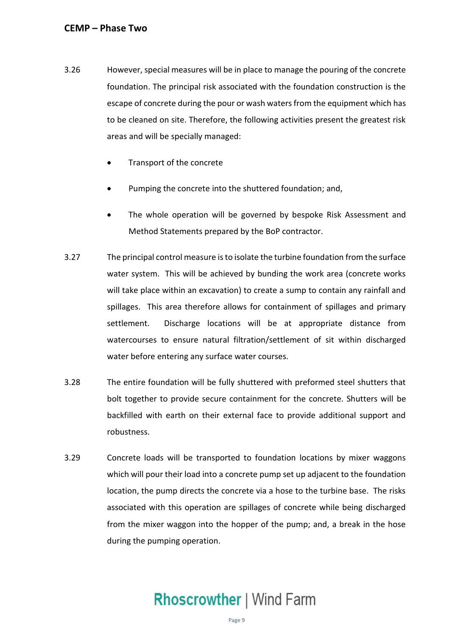- 3.26 However, special measures will be in place to manage the pouring of the concrete foundation. The principal risk associated with the foundation construction is the escape of concrete during the pour or wash waters from the equipment which has to be cleaned on site. Therefore, the following activities present the greatest risk areas and will be specially managed:
	- Transport of the concrete
	- Pumping the concrete into the shuttered foundation; and,
	- • The whole operation will be governed by bespoke Risk Assessment and Method Statements prepared by the BoP contractor.
- 3.27 The principal control measure is to isolate the turbine foundation from the surface water system. This will be achieved by bunding the work area (concrete works will take place within an excavation) to create a sump to contain any rainfall and spillages. This area therefore allows for containment of spillages and primary watercourses to ensure natural filtration/settlement of sit within discharged water before entering any surface water courses. settlement. Discharge locations will be at appropriate distance from
- 3.28 The entire foundation will be fully shuttered with preformed steel shutters that bolt together to provide secure containment for the concrete. Shutters will be backfilled with earth on their external face to provide additional support and robustness.
- 3.29 Concrete loads will be transported to foundation locations by mixer waggons which will pour their load into a concrete pump set up adjacent to the foundation associated with this operation are spillages of concrete while being discharged from the mixer waggon into the hopper of the pump; and, a break in the hose location, the pump directs the concrete via a hose to the turbine base. The risks during the pumping operation.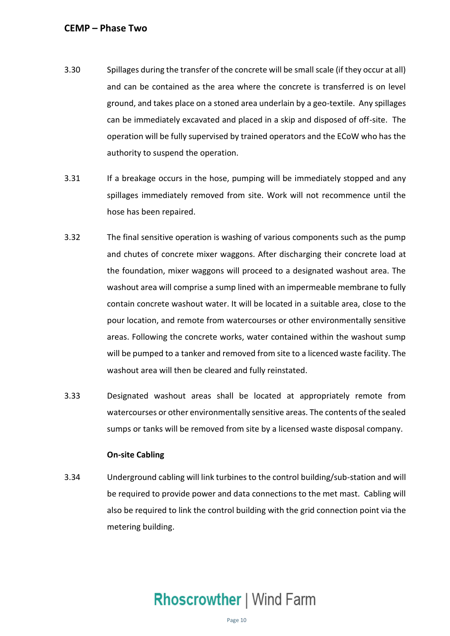- 3.30 Spillages during the transfer of the concrete will be small scale (if they occur at all) and can be contained as the area where the concrete is transferred is on level ground, and takes place on a stoned area underlain by a geo-textile. Any spillages can be immediately excavated and placed in a skip and disposed of off-site. The operation will be fully supervised by trained operators and the ECoW who has the authority to suspend the operation.
- 3.31 If a breakage occurs in the hose, pumping will be immediately stopped and any spillages immediately removed from site. Work will not recommence until the hose has been repaired.
- 3.32 The final sensitive operation is washing of various components such as the pump and chutes of concrete mixer waggons. After discharging their concrete load at the foundation, mixer waggons will proceed to a designated washout area. The washout area will comprise a sump lined with an impermeable membrane to fully contain concrete washout water. It will be located in a suitable area, close to the pour location, and remote from watercourses or other environmentally sensitive areas. Following the concrete works, water contained within the washout sump will be pumped to a tanker and removed from site to a licenced waste facility. The washout area will then be cleared and fully reinstated.
- 3.33 Designated washout areas shall be located at appropriately remote from watercourses or other environmentally sensitive areas. The contents of the sealed sumps or tanks will be removed from site by a licensed waste disposal company.

### **On-site Cabling**

 3.34 Underground cabling will link turbines to the control building/sub-station and will be required to provide power and data connections to the met mast. Cabling will also be required to link the control building with the grid connection point via the metering building.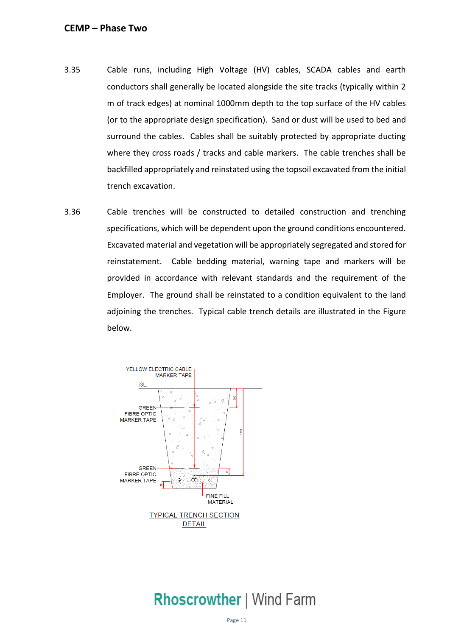- 3.35 Cable runs, including High Voltage (HV) cables, SCADA cables and earth conductors shall generally be located alongside the site tracks (typically within 2 m of track edges) at nominal 1000mm depth to the top surface of the HV cables (or to the appropriate design specification). Sand or dust will be used to bed and surround the cables. Cables shall be suitably protected by appropriate ducting where they cross roads / tracks and cable markers. The cable trenches shall be backfilled appropriately and reinstated using the topsoil excavated from the initial trench excavation.
- 3.36 Cable trenches will be constructed to detailed construction and trenching specifications, which will be dependent upon the ground conditions encountered. Excavated material and vegetation will be appropriately segregated and stored for provided in accordance with relevant standards and the requirement of the Employer. The ground shall be reinstated to a condition equivalent to the land adjoining the trenches. Typical cable trench details are illustrated in the Figure reinstatement. Cable bedding material, warning tape and markers will be below.

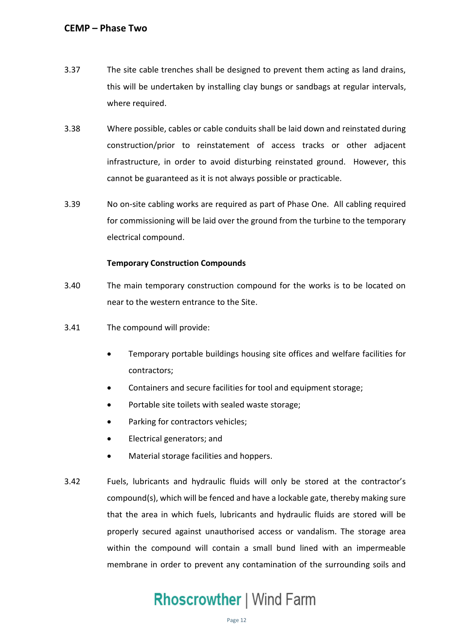- 3.37 The site cable trenches shall be designed to prevent them acting as land drains, this will be undertaken by installing clay bungs or sandbags at regular intervals, where required.
- 3.38 Where possible, cables or cable conduits shall be laid down and reinstated during construction/prior to reinstatement of access tracks or other adjacent infrastructure, in order to avoid disturbing reinstated ground. However, this cannot be guaranteed as it is not always possible or practicable.
- 3.39 No on-site cabling works are required as part of Phase One. All cabling required for commissioning will be laid over the ground from the turbine to the temporary electrical compound.

### **Temporary Construction Compounds**

- 3.40 The main temporary construction compound for the works is to be located on near to the western entrance to the Site.
- 3.41 The compound will provide:
	- • Temporary portable buildings housing site offices and welfare facilities for contractors;
	- Containers and secure facilities for tool and equipment storage;
	- Portable site toilets with sealed waste storage;
	- Parking for contractors vehicles;
	- Electrical generators; and
	- Material storage facilities and hoppers.
- 3.42 Fuels, lubricants and hydraulic fluids will only be stored at the contractor's compound(s), which will be fenced and have a lockable gate, thereby making sure that the area in which fuels, lubricants and hydraulic fluids are stored will be properly secured against unauthorised access or vandalism. The storage area within the compound will contain a small bund lined with an impermeable membrane in order to prevent any contamination of the surrounding soils and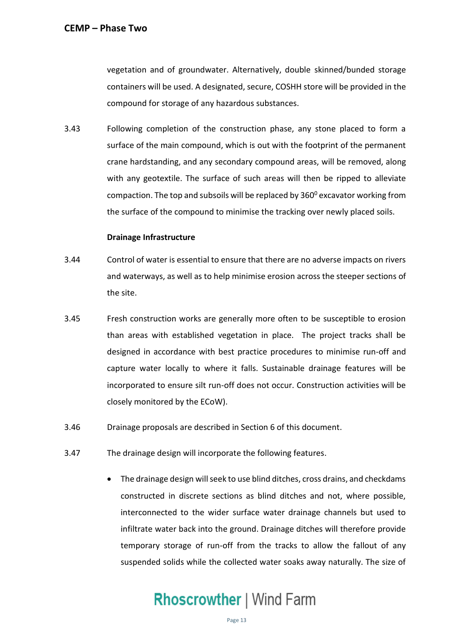vegetation and of groundwater. Alternatively, double skinned/bunded storage containers will be used. A designated, secure, COSHH store will be provided in the compound for storage of any hazardous substances.

 3.43 Following completion of the construction phase, any stone placed to form a surface of the main compound, which is out with the footprint of the permanent crane hardstanding, and any secondary compound areas, will be removed, along with any geotextile. The surface of such areas will then be ripped to alleviate compaction. The top and subsoils will be replaced by 360<sup>0</sup> excavator working from the surface of the compound to minimise the tracking over newly placed soils.

### **Drainage Infrastructure**

- 3.44 Control of water is essential to ensure that there are no adverse impacts on rivers and waterways, as well as to help minimise erosion across the steeper sections of the site.
- 3.45 Fresh construction works are generally more often to be susceptible to erosion than areas with established vegetation in place. The project tracks shall be designed in accordance with best practice procedures to minimise run-off and capture water locally to where it falls. Sustainable drainage features will be incorporated to ensure silt run-off does not occur. Construction activities will be closely monitored by the ECoW).
- 3.46 Drainage proposals are described in Section 6 of this document.
- 3.47 The drainage design will incorporate the following features.
	- • The drainage design will seek to use blind ditches, cross drains, and checkdams constructed in discrete sections as blind ditches and not, where possible, interconnected to the wider surface water drainage channels but used to infiltrate water back into the ground. Drainage ditches will therefore provide temporary storage of run-off from the tracks to allow the fallout of any suspended solids while the collected water soaks away naturally. The size of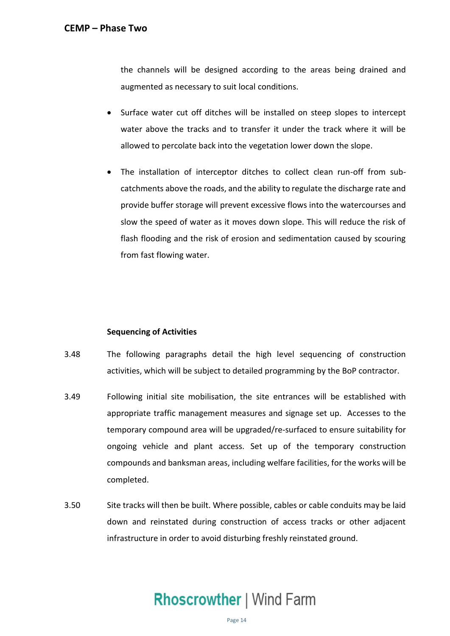the channels will be designed according to the areas being drained and augmented as necessary to suit local conditions.

- • Surface water cut off ditches will be installed on steep slopes to intercept water above the tracks and to transfer it under the track where it will be allowed to percolate back into the vegetation lower down the slope.
- • The installation of interceptor ditches to collect clean run-off from sub- catchments above the roads, and the ability to regulate the discharge rate and provide buffer storage will prevent excessive flows into the watercourses and slow the speed of water as it moves down slope. This will reduce the risk of flash flooding and the risk of erosion and sedimentation caused by scouring from fast flowing water.

### **Sequencing of Activities**

- 3.48 The following paragraphs detail the high level sequencing of construction activities, which will be subject to detailed programming by the BoP contractor.
- 3.49 Following initial site mobilisation, the site entrances will be established with appropriate traffic management measures and signage set up. Accesses to the ongoing vehicle and plant access. Set up of the temporary construction compounds and banksman areas, including welfare facilities, for the works will be temporary compound area will be upgraded/re-surfaced to ensure suitability for completed.
- 3.50 Site tracks will then be built. Where possible, cables or cable conduits may be laid down and reinstated during construction of access tracks or other adjacent infrastructure in order to avoid disturbing freshly reinstated ground.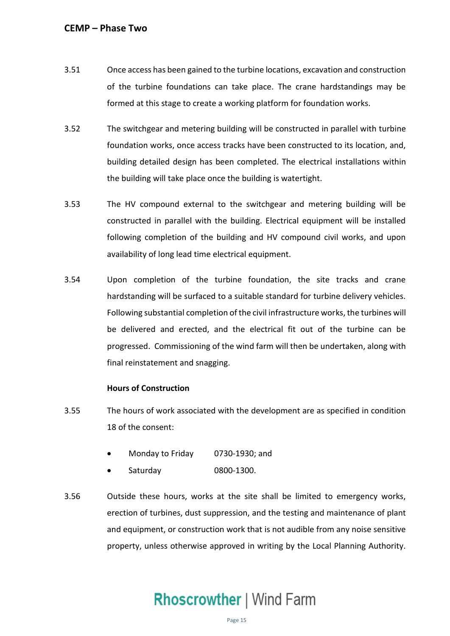- 3.51 Once access has been gained to the turbine locations, excavation and construction formed at this stage to create a working platform for foundation works. of the turbine foundations can take place. The crane hardstandings may be
- 3.52 The switchgear and metering building will be constructed in parallel with turbine foundation works, once access tracks have been constructed to its location, and, building detailed design has been completed. The electrical installations within the building will take place once the building is watertight.
- 3.53 The HV compound external to the switchgear and metering building will be constructed in parallel with the building. Electrical equipment will be installed following completion of the building and HV compound civil works, and upon availability of long lead time electrical equipment.
- 3.54 Upon completion of the turbine foundation, the site tracks and crane hardstanding will be surfaced to a suitable standard for turbine delivery vehicles. Following substantial completion of the civil infrastructure works, the turbines will be delivered and erected, and the electrical fit out of the turbine can be progressed. Commissioning of the wind farm will then be undertaken, along with final reinstatement and snagging.

### **Hours of Construction**

- 3.55 The hours of work associated with the development are as specified in condition 18 of the consent:
	- Monday to Friday 0730-1930; and
	- Saturday 0800-1300.
- 3.56 Outside these hours, works at the site shall be limited to emergency works, erection of turbines, dust suppression, and the testing and maintenance of plant and equipment, or construction work that is not audible from any noise sensitive property, unless otherwise approved in writing by the Local Planning Authority.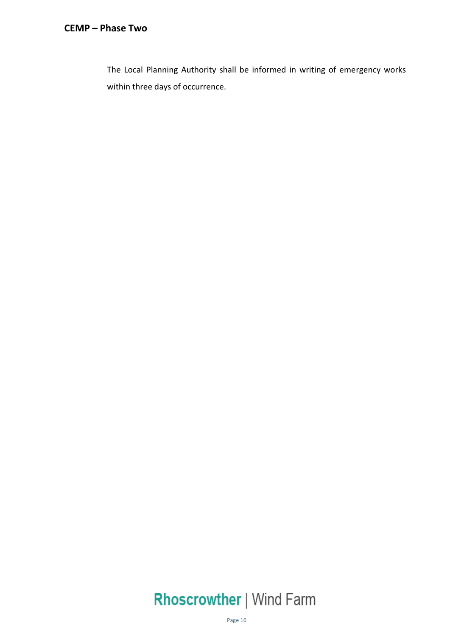The Local Planning Authority shall be informed in writing of emergency works within three days of occurrence.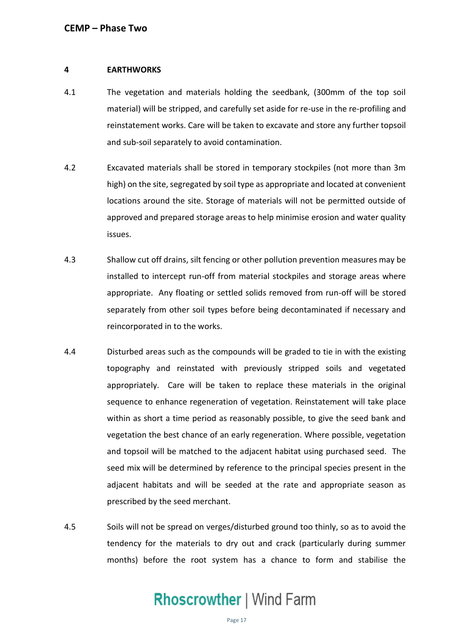### <span id="page-17-0"></span>**4 EARTHWORKS**

- 4.1 The vegetation and materials holding the seedbank, (300mm of the top soil material) will be stripped, and carefully set aside for re-use in the re-profiling and reinstatement works. Care will be taken to excavate and store any further topsoil and sub-soil separately to avoid contamination.
- 4.2 Excavated materials shall be stored in temporary stockpiles (not more than 3m high) on the site, segregated by soil type as appropriate and located at convenient locations around the site. Storage of materials will not be permitted outside of approved and prepared storage areas to help minimise erosion and water quality issues.
- 4.3 Shallow cut off drains, silt fencing or other pollution prevention measures may be installed to intercept run-off from material stockpiles and storage areas where appropriate. Any floating or settled solids removed from run-off will be stored separately from other soil types before being decontaminated if necessary and reincorporated in to the works.
- 4.4 Disturbed areas such as the compounds will be graded to tie in with the existing topography and reinstated with previously stripped soils and vegetated appropriately. Care will be taken to replace these materials in the original sequence to enhance regeneration of vegetation. Reinstatement will take place within as short a time period as reasonably possible, to give the seed bank and vegetation the best chance of an early regeneration. Where possible, vegetation and topsoil will be matched to the adjacent habitat using purchased seed. The seed mix will be determined by reference to the principal species present in the adjacent habitats and will be seeded at the rate and appropriate season as prescribed by the seed merchant.
- 4.5 Soils will not be spread on verges/disturbed ground too thinly, so as to avoid the tendency for the materials to dry out and crack (particularly during summer months) before the root system has a chance to form and stabilise the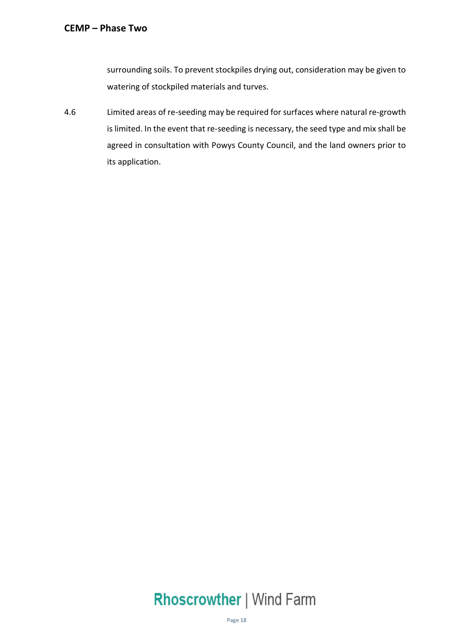surrounding soils. To prevent stockpiles drying out, consideration may be given to watering of stockpiled materials and turves.

 Limited areas of re-seeding may be required for surfaces where natural re-growth is limited. In the event that re-seeding is necessary, the seed type and mix shall be agreed in consultation with Powys County Council, and the land owners prior to 4.6 its application.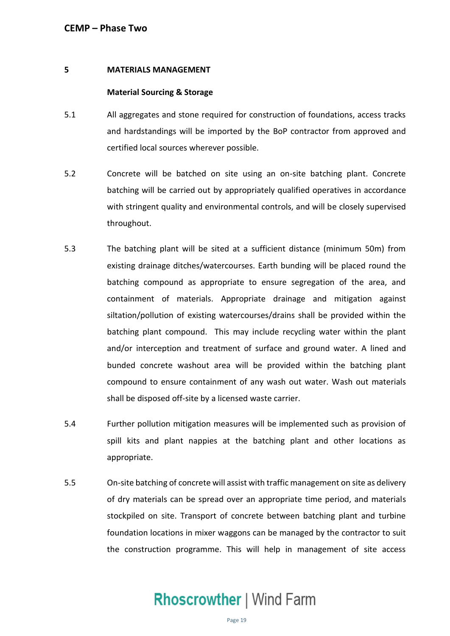### **5 MATERIALS MANAGEMENT**

### **Material Sourcing & Storage**

- 5.1 All aggregates and stone required for construction of foundations, access tracks and hardstandings will be imported by the BoP contractor from approved and certified local sources wherever possible.
- 5.2 Concrete will be batched on site using an on-site batching plant. Concrete batching will be carried out by appropriately qualified operatives in accordance with stringent quality and environmental controls, and will be closely supervised throughout.
- throughout.<br>5.3 The batching plant will be sited at a sufficient distance (minimum 50m) from existing drainage ditches/watercourses. Earth bunding will be placed round the batching compound as appropriate to ensure segregation of the area, and containment of materials. Appropriate drainage and mitigation against siltation/pollution of existing watercourses/drains shall be provided within the batching plant compound. This may include recycling water within the plant and/or interception and treatment of surface and ground water. A lined and bunded concrete washout area will be provided within the batching plant compound to ensure containment of any wash out water. Wash out materials shall be disposed off-site by a licensed waste carrier.
- 5.4 Further pollution mitigation measures will be implemented such as provision of spill kits and plant nappies at the batching plant and other locations as appropriate.
- 5.5 On-site batching of concrete will assist with traffic management on site as delivery of dry materials can be spread over an appropriate time period, and materials stockpiled on site. Transport of concrete between batching plant and turbine the construction programme. This will help in management of site access foundation locations in mixer waggons can be managed by the contractor to suit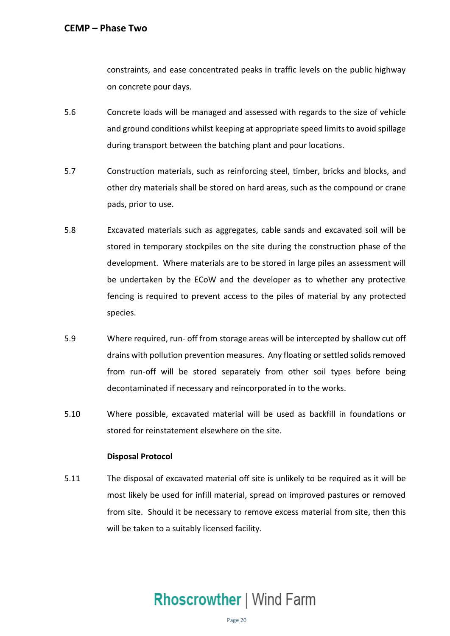constraints, and ease concentrated peaks in traffic levels on the public highway on concrete pour days.

- 5.6 Concrete loads will be managed and assessed with regards to the size of vehicle and ground conditions whilst keeping at appropriate speed limits to avoid spillage during transport between the batching plant and pour locations.
- 5.7 Construction materials, such as reinforcing steel, timber, bricks and blocks, and other dry materials shall be stored on hard areas, such as the compound or crane pads, prior to use.
- 5.8 Excavated materials such as aggregates, cable sands and excavated soil will be stored in temporary stockpiles on the site during the construction phase of the development. Where materials are to be stored in large piles an assessment will fencing is required to prevent access to the piles of material by any protected be undertaken by the ECoW and the developer as to whether any protective species.
- 5.9 Where required, run- off from storage areas will be intercepted by shallow cut off drains with pollution prevention measures. Any floating or settled solids removed from run-off will be stored separately from other soil types before being decontaminated if necessary and reincorporated in to the works.
- stored for reinstatement elsewhere on the site. 5.10 Where possible, excavated material will be used as backfill in foundations or

### **Disposal Protocol**

 5.11 The disposal of excavated material off site is unlikely to be required as it will be most likely be used for infill material, spread on improved pastures or removed from site. Should it be necessary to remove excess material from site, then this will be taken to a suitably licensed facility.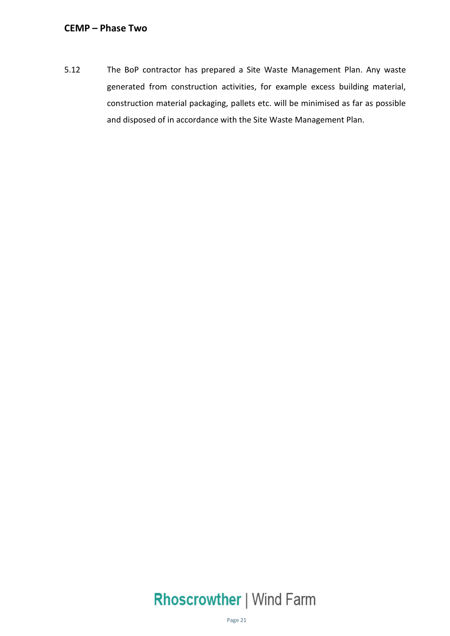5.12 The BoP contractor has prepared a Site Waste Management Plan. Any waste generated from construction activities, for example excess building material, construction material packaging, pallets etc. will be minimised as far as possible and disposed of in accordance with the Site Waste Management Plan.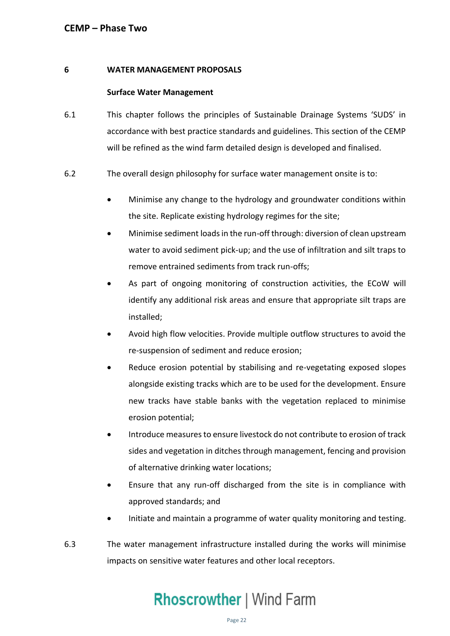### <span id="page-22-0"></span>**6 WATER MANAGEMENT PROPOSALS**

### **Surface Water Management**

- accordance with best practice standards and guidelines. This section of the CEMP will be refined as the wind farm detailed design is developed and finalised. 6.1 This chapter follows the principles of Sustainable Drainage Systems 'SUDS' in
- 6.2 The overall design philosophy for surface water management onsite is to:
	- • Minimise any change to the hydrology and groundwater conditions within the site. Replicate existing hydrology regimes for the site;
	- • Minimise sediment loads in the run-off through: diversion of clean upstream water to avoid sediment pick-up; and the use of infiltration and silt traps to remove entrained sediments from track run-offs;
	- • As part of ongoing monitoring of construction activities, the ECoW will identify any additional risk areas and ensure that appropriate silt traps are installed;
	- • Avoid high flow velocities. Provide multiple outflow structures to avoid the re-suspension of sediment and reduce erosion;
	- • Reduce erosion potential by stabilising and re-vegetating exposed slopes alongside existing tracks which are to be used for the development. Ensure new tracks have stable banks with the vegetation replaced to minimise erosion potential;
	- • Introduce measures to ensure livestock do not contribute to erosion of track sides and vegetation in ditches through management, fencing and provision of alternative drinking water locations;
	- • Ensure that any run-off discharged from the site is in compliance with approved standards; and
	- Initiate and maintain a programme of water quality monitoring and testing.
- 6.3 The water management infrastructure installed during the works will minimise impacts on sensitive water features and other local receptors.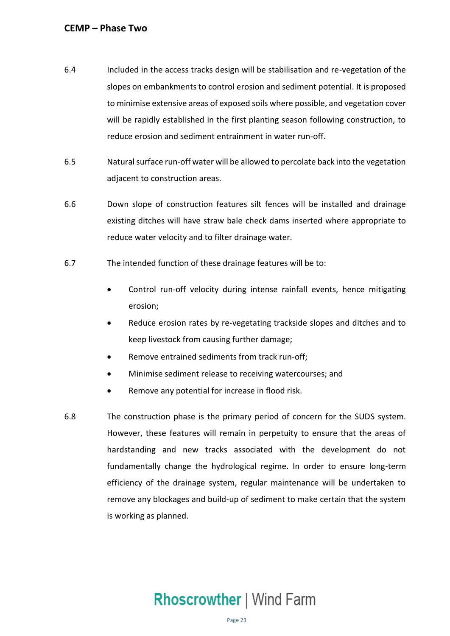- 6.4 Included in the access tracks design will be stabilisation and re-vegetation of the slopes on embankments to control erosion and sediment potential. It is proposed to minimise extensive areas of exposed soils where possible, and vegetation cover will be rapidly established in the first planting season following construction, to reduce erosion and sediment entrainment in water run-off.
- 6.5 Natural surface run-off water will be allowed to percolate back into the vegetation adjacent to construction areas.
- 6.6 Down slope of construction features silt fences will be installed and drainage existing ditches will have straw bale check dams inserted where appropriate to reduce water velocity and to filter drainage water.
- 6.7 The intended function of these drainage features will be to:
	- • Control run-off velocity during intense rainfall events, hence mitigating erosion;
	- • Reduce erosion rates by re-vegetating trackside slopes and ditches and to keep livestock from causing further damage;
	- Remove entrained sediments from track run-off;
	- Minimise sediment release to receiving watercourses; and
	- Remove any potential for increase in flood risk.
- 6.8 The construction phase is the primary period of concern for the SUDS system. However, these features will remain in perpetuity to ensure that the areas of hardstanding and new tracks associated with the development do not fundamentally change the hydrological regime. In order to ensure long-term remove any blockages and build-up of sediment to make certain that the system efficiency of the drainage system, regular maintenance will be undertaken to is working as planned.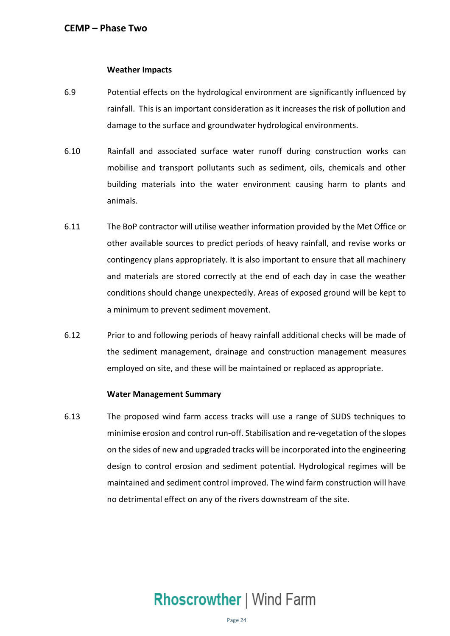### **Weather Impacts**

- 6.9 Potential effects on the hydrological environment are significantly influenced by rainfall. This is an important consideration as it increases the risk of pollution and damage to the surface and groundwater hydrological environments.
- 6.10 Rainfall and associated surface water runoff during construction works can mobilise and transport pollutants such as sediment, oils, chemicals and other building materials into the water environment causing harm to plants and animals.
- 6.11 The BoP contractor will utilise weather information provided by the Met Office or other available sources to predict periods of heavy rainfall, and revise works or contingency plans appropriately. It is also important to ensure that all machinery and materials are stored correctly at the end of each day in case the weather conditions should change unexpectedly. Areas of exposed ground will be kept to a minimum to prevent sediment movement.
- 6.12 Prior to and following periods of heavy rainfall additional checks will be made of the sediment management, drainage and construction management measures employed on site, and these will be maintained or replaced as appropriate.

### **Water Management Summary**

 6.13 The proposed wind farm access tracks will use a range of SUDS techniques to minimise erosion and control run-off. Stabilisation and re-vegetation of the slopes on the sides of new and upgraded tracks will be incorporated into the engineering design to control erosion and sediment potential. Hydrological regimes will be maintained and sediment control improved. The wind farm construction will have no detrimental effect on any of the rivers downstream of the site.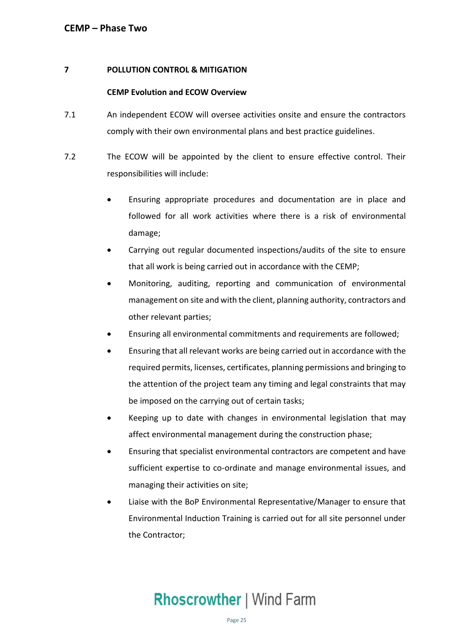### <span id="page-25-0"></span> **7 POLLUTION CONTROL & MITIGATION**

### **CEMP Evolution and ECOW Overview**

- 7.1 An independent ECOW will oversee activities onsite and ensure the contractors comply with their own environmental plans and best practice guidelines.
- 7.2 The ECOW will be appointed by the client to ensure effective control. Their responsibilities will include:
	- • Ensuring appropriate procedures and documentation are in place and followed for all work activities where there is a risk of environmental damage;
	- that all work is being carried out in accordance with the CEMP; • Carrying out regular documented inspections/audits of the site to ensure
	- • Monitoring, auditing, reporting and communication of environmental management on site and with the client, planning authority, contractors and other relevant parties;
	- Ensuring all environmental commitments and requirements are followed;
	- • Ensuring that all relevant works are being carried out in accordance with the required permits, licenses, certificates, planning permissions and bringing to the attention of the project team any timing and legal constraints that may be imposed on the carrying out of certain tasks;
	- • Keeping up to date with changes in environmental legislation that may affect environmental management during the construction phase;
	- • Ensuring that specialist environmental contractors are competent and have sufficient expertise to co-ordinate and manage environmental issues, and managing their activities on site;
	- • Liaise with the BoP Environmental Representative/Manager to ensure that Environmental Induction Training is carried out for all site personnel under the Contractor;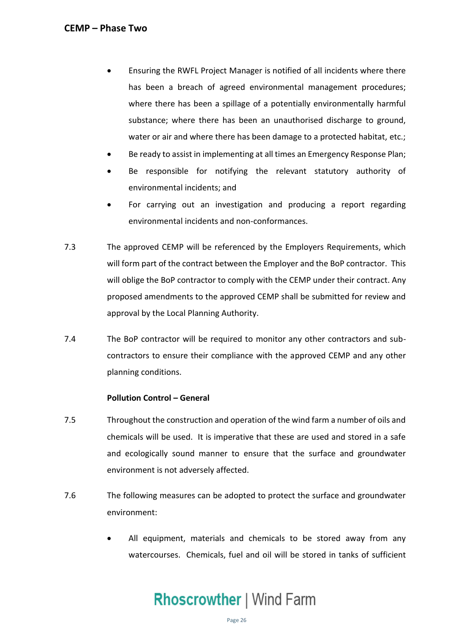- • Ensuring the RWFL Project Manager is notified of all incidents where there has been a breach of agreed environmental management procedures; where there has been a spillage of a potentially environmentally harmful substance; where there has been an unauthorised discharge to ground, water or air and where there has been damage to a protected habitat, etc.;
- Be ready to assist in implementing at all times an Emergency Response Plan;
- Be responsible for notifying the relevant statutory authority of environmental incidents; and
- • For carrying out an investigation and producing a report regarding environmental incidents and non-conformances.
- 7.3 The approved CEMP will be referenced by the Employers Requirements, which will form part of the contract between the Employer and the BoP contractor. This will oblige the BoP contractor to comply with the CEMP under their contract. Any proposed amendments to the approved CEMP shall be submitted for review and approval by the Local Planning Authority.
- 7.4 The BoP contractor will be required to monitor any other contractors and sub- contractors to ensure their compliance with the approved CEMP and any other planning conditions.

### **Pollution Control – General**

- 7.5 Throughout the construction and operation of the wind farm a number of oils and chemicals will be used. It is imperative that these are used and stored in a safe and ecologically sound manner to ensure that the surface and groundwater environment is not adversely affected.
- 7.6 The following measures can be adopted to protect the surface and groundwater environment:
	- • All equipment, materials and chemicals to be stored away from any watercourses. Chemicals, fuel and oil will be stored in tanks of sufficient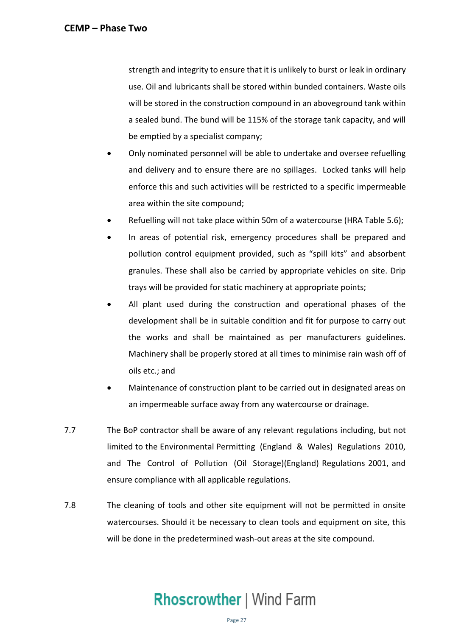strength and integrity to ensure that it is unlikely to burst or leak in ordinary use. Oil and lubricants shall be stored within bunded containers. Waste oils will be stored in the construction compound in an aboveground tank within a sealed bund. The bund will be 115% of the storage tank capacity, and will be emptied by a specialist company;

- • Only nominated personnel will be able to undertake and oversee refuelling and delivery and to ensure there are no spillages. Locked tanks will help enforce this and such activities will be restricted to a specific impermeable area within the site compound;
- Refuelling will not take place within 50m of a watercourse (HRA Table 5.6);
- • In areas of potential risk, emergency procedures shall be prepared and pollution control equipment provided, such as "spill kits" and absorbent granules. These shall also be carried by appropriate vehicles on site. Drip trays will be provided for static machinery at appropriate points;
- • All plant used during the construction and operational phases of the development shall be in suitable condition and fit for purpose to carry out the works and shall be maintained as per manufacturers guidelines. Machinery shall be properly stored at all times to minimise rain wash off of oils etc.; and
- • Maintenance of construction plant to be carried out in designated areas on an impermeable surface away from any watercourse or drainage.
- 7.7 The BoP contractor shall be aware of any relevant regulations including, but not limited to the Environmental Permitting (England & Wales) Regulations 2010, and The Control of Pollution (Oil Storage)(England) Regulations 2001, and ensure compliance with all applicable regulations.
- 7.8 The cleaning of tools and other site equipment will not be permitted in onsite watercourses. Should it be necessary to clean tools and equipment on site, this will be done in the predetermined wash-out areas at the site compound.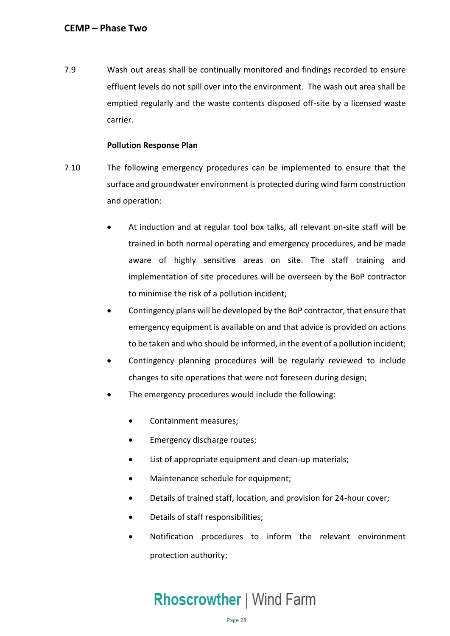<span id="page-28-0"></span> 7.9 Wash out areas shall be continually monitored and findings recorded to ensure effluent levels do not spill over into the environment. The wash out area shall be emptied regularly and the waste contents disposed off-site by a licensed waste carrier.

### **Pollution Response Plan**

- 7.10 The following emergency procedures can be implemented to ensure that the surface and groundwater environment is protected during wind farm construction and operation:
	- • At induction and at regular tool box talks, all relevant on-site staff will be trained in both normal operating and emergency procedures, and be made aware of highly sensitive areas on site. The staff training and implementation of site procedures will be overseen by the BoP contractor to minimise the risk of a pollution incident;
	- • Contingency plans will be developed by the BoP contractor, that ensure that emergency equipment is available on and that advice is provided on actions to be taken and who should be informed, in the event of a pollution incident;
	- changes to site operations that were not foreseen during design; • Contingency planning procedures will be regularly reviewed to include
	- The emergency procedures would include the following:
		- Containment measures;
		- Emergency discharge routes;
		- List of appropriate equipment and clean-up materials;
		- Maintenance schedule for equipment;
		- Details of trained staff, location, and provision for 24-hour cover;
		- Details of staff responsibilities;
		- • Notification procedures to inform the relevant environment protection authority;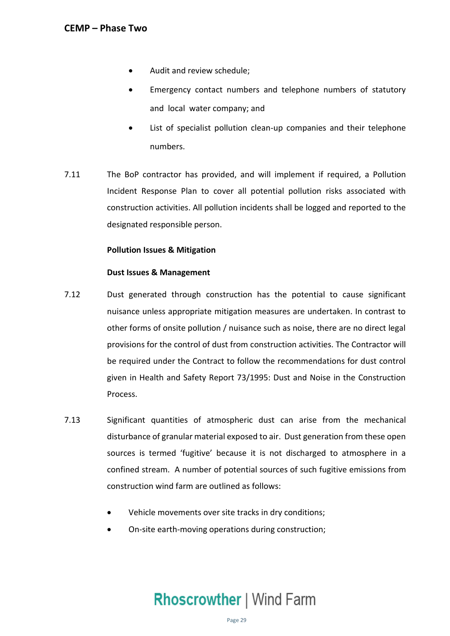- Audit and review schedule;
- • Emergency contact numbers and telephone numbers of statutory and local water company; and
- • List of specialist pollution clean-up companies and their telephone numbers.
- 7.11 The BoP contractor has provided, and will implement if required, a Pollution Incident Response Plan to cover all potential pollution risks associated with construction activities. All pollution incidents shall be logged and reported to the designated responsible person.

### **Pollution Issues & Mitigation**

### **Dust Issues & Management**

- 7.12 Dust generated through construction has the potential to cause significant nuisance unless appropriate mitigation measures are undertaken. In contrast to other forms of onsite pollution / nuisance such as noise, there are no direct legal provisions for the control of dust from construction activities. The Contractor will be required under the Contract to follow the recommendations for dust control given in Health and Safety Report 73/1995: Dust and Noise in the Construction Process.
- 7.13 Significant quantities of atmospheric dust can arise from the mechanical disturbance of granular material exposed to air. Dust generation from these open sources is termed 'fugitive' because it is not discharged to atmosphere in a confined stream. A number of potential sources of such fugitive emissions from construction wind farm are outlined as follows:
	- Vehicle movements over site tracks in dry conditions;
	- On-site earth-moving operations during construction;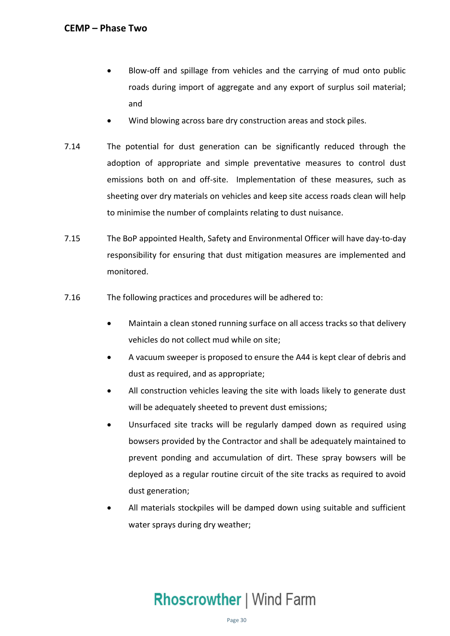- • Blow-off and spillage from vehicles and the carrying of mud onto public roads during import of aggregate and any export of surplus soil material; and
- Wind blowing across bare dry construction areas and stock piles.
- 7.14 The potential for dust generation can be significantly reduced through the adoption of appropriate and simple preventative measures to control dust emissions both on and off-site. Implementation of these measures, such as sheeting over dry materials on vehicles and keep site access roads clean will help to minimise the number of complaints relating to dust nuisance.
- 7.15 The BoP appointed Health, Safety and Environmental Officer will have day-to-day responsibility for ensuring that dust mitigation measures are implemented and monitored.
- 7.16 The following practices and procedures will be adhered to:
	- • Maintain a clean stoned running surface on all access tracks so that delivery vehicles do not collect mud while on site;
	- • A vacuum sweeper is proposed to ensure the A44 is kept clear of debris and dust as required, and as appropriate;
	- • All construction vehicles leaving the site with loads likely to generate dust will be adequately sheeted to prevent dust emissions;
	- • Unsurfaced site tracks will be regularly damped down as required using bowsers provided by the Contractor and shall be adequately maintained to prevent ponding and accumulation of dirt. These spray bowsers will be deployed as a regular routine circuit of the site tracks as required to avoid dust generation;
	- • All materials stockpiles will be damped down using suitable and sufficient water sprays during dry weather;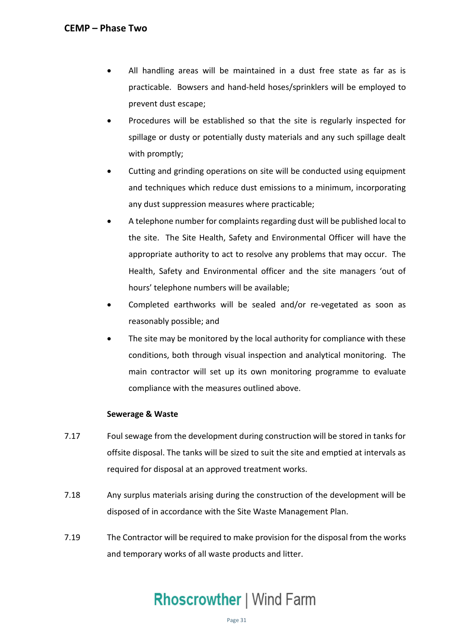- • All handling areas will be maintained in a dust free state as far as is practicable. Bowsers and hand-held hoses/sprinklers will be employed to prevent dust escape;
- • Procedures will be established so that the site is regularly inspected for spillage or dusty or potentially dusty materials and any such spillage dealt with promptly;
- • Cutting and grinding operations on site will be conducted using equipment and techniques which reduce dust emissions to a minimum, incorporating any dust suppression measures where practicable;
- • A telephone number for complaints regarding dust will be published local to the site. The Site Health, Safety and Environmental Officer will have the appropriate authority to act to resolve any problems that may occur. The Health, Safety and Environmental officer and the site managers 'out of hours' telephone numbers will be available;
- • Completed earthworks will be sealed and/or re-vegetated as soon as reasonably possible; and
- • The site may be monitored by the local authority for compliance with these conditions, both through visual inspection and analytical monitoring. The main contractor will set up its own monitoring programme to evaluate compliance with the measures outlined above.

### **Sewerage & Waste**

- 7.17 Foul sewage from the development during construction will be stored in tanks for offsite disposal. The tanks will be sized to suit the site and emptied at intervals as required for disposal at an approved treatment works.
- 7.18 Any surplus materials arising during the construction of the development will be disposed of in accordance with the Site Waste Management Plan.
- 7.19 The Contractor will be required to make provision for the disposal from the works and temporary works of all waste products and litter.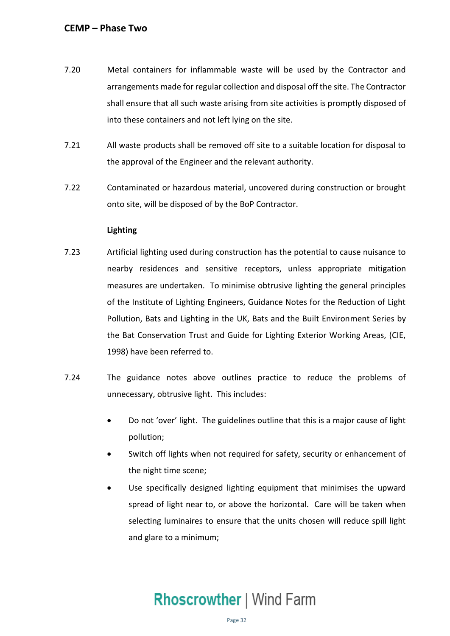- 7.20 Metal containers for inflammable waste will be used by the Contractor and arrangements made for regular collection and disposal off the site. The Contractor shall ensure that all such waste arising from site activities is promptly disposed of into these containers and not left lying on the site.
- 7.21 All waste products shall be removed off site to a suitable location for disposal to the approval of the Engineer and the relevant authority.
- 7.22 Contaminated or hazardous material, uncovered during construction or brought onto site, will be disposed of by the BoP Contractor.

### **Lighting**

- 7.23 Artificial lighting used during construction has the potential to cause nuisance to measures are undertaken. To minimise obtrusive lighting the general principles of the Institute of Lighting Engineers, Guidance Notes for the Reduction of Light Pollution, Bats and Lighting in the UK, Bats and the Built Environment Series by the Bat Conservation Trust and Guide for Lighting Exterior Working Areas, (CIE, 1998) have been referred to. nearby residences and sensitive receptors, unless appropriate mitigation
- 7.24 The guidance notes above outlines practice to reduce the problems of unnecessary, obtrusive light. This includes:
	- • Do not 'over' light. The guidelines outline that this is a major cause of light pollution;
	- • Switch off lights when not required for safety, security or enhancement of the night time scene;
	- • Use specifically designed lighting equipment that minimises the upward spread of light near to, or above the horizontal. Care will be taken when selecting luminaires to ensure that the units chosen will reduce spill light and glare to a minimum;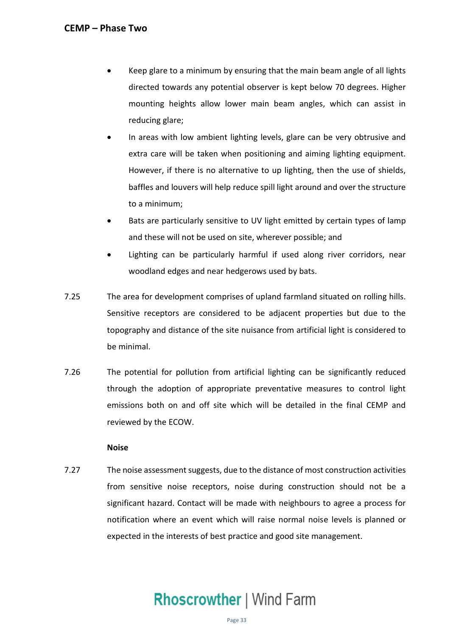- • Keep glare to a minimum by ensuring that the main beam angle of all lights directed towards any potential observer is kept below 70 degrees. Higher mounting heights allow lower main beam angles, which can assist in reducing glare;
- • In areas with low ambient lighting levels, glare can be very obtrusive and extra care will be taken when positioning and aiming lighting equipment. However, if there is no alternative to up lighting, then the use of shields, baffles and louvers will help reduce spill light around and over the structure to a minimum;
- • Bats are particularly sensitive to UV light emitted by certain types of lamp and these will not be used on site, wherever possible; and
- • Lighting can be particularly harmful if used along river corridors, near woodland edges and near hedgerows used by bats.
- 7.25 The area for development comprises of upland farmland situated on rolling hills. Sensitive receptors are considered to be adjacent properties but due to the topography and distance of the site nuisance from artificial light is considered to be minimal.
- 7.26 The potential for pollution from artificial lighting can be significantly reduced through the adoption of appropriate preventative measures to control light emissions both on and off site which will be detailed in the final CEMP and reviewed by the ECOW.

### **Noise**

 7.27 The noise assessment suggests, due to the distance of most construction activities from sensitive noise receptors, noise during construction should not be a significant hazard. Contact will be made with neighbours to agree a process for notification where an event which will raise normal noise levels is planned or expected in the interests of best practice and good site management.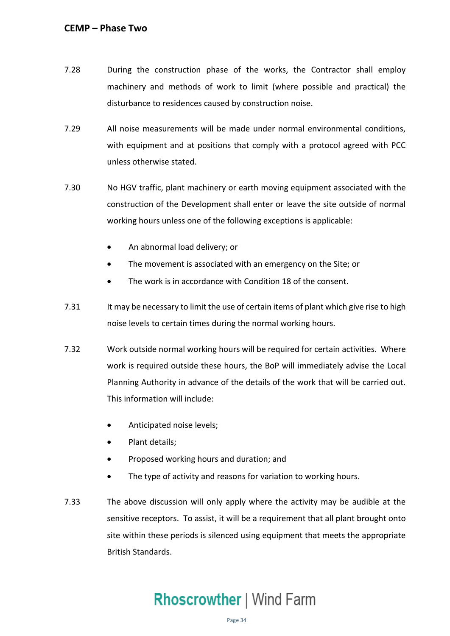- 7.28 During the construction phase of the works, the Contractor shall employ machinery and methods of work to limit (where possible and practical) the disturbance to residences caused by construction noise.
- with equipment and at positions that comply with a protocol agreed with PCC 7.29 All noise measurements will be made under normal environmental conditions, unless otherwise stated.
- 7.30 No HGV traffic, plant machinery or earth moving equipment associated with the construction of the Development shall enter or leave the site outside of normal working hours unless one of the following exceptions is applicable:
	- An abnormal load delivery; or
	- The movement is associated with an emergency on the Site; or
	- The work is in accordance with Condition 18 of the consent.
- 7.31 It may be necessary to limit the use of certain items of plant which give rise to high noise levels to certain times during the normal working hours.
- 7.32 Work outside normal working hours will be required for certain activities. Where work is required outside these hours, the BoP will immediately advise the Local Planning Authority in advance of the details of the work that will be carried out. This information will include:
	- Anticipated noise levels;
	- Plant details;
	- Proposed working hours and duration; and
	- The type of activity and reasons for variation to working hours.
- 7.33 The above discussion will only apply where the activity may be audible at the sensitive receptors. To assist, it will be a requirement that all plant brought onto site within these periods is silenced using equipment that meets the appropriate British Standards.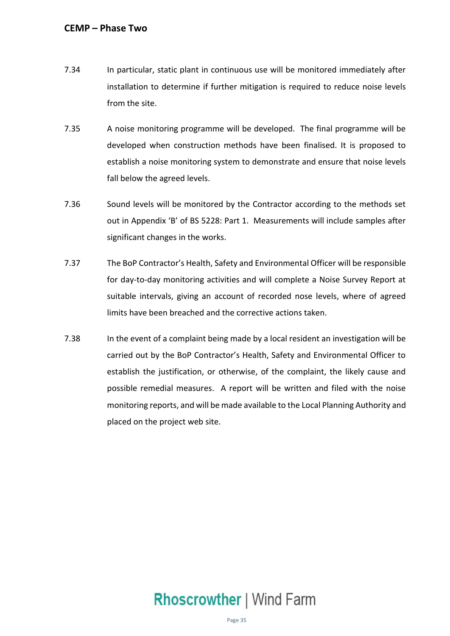- 7.34 In particular, static plant in continuous use will be monitored immediately after installation to determine if further mitigation is required to reduce noise levels from the site.
- 7.35 A noise monitoring programme will be developed. The final programme will be developed when construction methods have been finalised. It is proposed to establish a noise monitoring system to demonstrate and ensure that noise levels fall below the agreed levels.
- 7.36 Sound levels will be monitored by the Contractor according to the methods set out in Appendix 'B' of BS 5228: Part 1. Measurements will include samples after significant changes in the works.
- for day-to-day monitoring activities and will complete a Noise Survey Report at suitable intervals, giving an account of recorded nose levels, where of agreed limits have been breached and the corrective actions taken. 7.37 The BoP Contractor's Health, Safety and Environmental Officer will be responsible
- 7.38 In the event of a complaint being made by a local resident an investigation will be carried out by the BoP Contractor's Health, Safety and Environmental Officer to possible remedial measures. A report will be written and filed with the noise placed on the project web site. establish the justification, or otherwise, of the complaint, the likely cause and monitoring reports, and will be made available to the Local Planning Authority and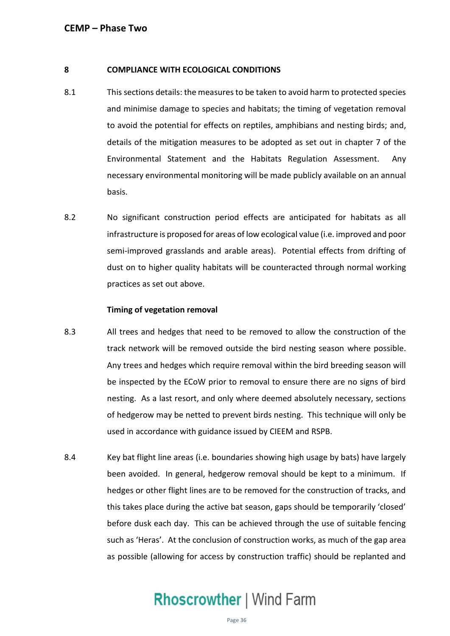### **8 COMPLIANCE WITH ECOLOGICAL CONDITIONS**

- 8.1 This sections details: the measures to be taken to avoid harm to protected species and minimise damage to species and habitats; the timing of vegetation removal to avoid the potential for effects on reptiles, amphibians and nesting birds; and, details of the mitigation measures to be adopted as set out in chapter 7 of the Environmental Statement and the Habitats Regulation Assessment. Any necessary environmental monitoring will be made publicly available on an annual basis.
- basis. 8.2 No significant construction period effects are anticipated for habitats as all infrastructure is proposed for areas of low ecological value (i.e. improved and poor semi-improved grasslands and arable areas). Potential effects from drifting of dust on to higher quality habitats will be counteracted through normal working practices as set out above.

### **Timing of vegetation removal**

- 8.3 All trees and hedges that need to be removed to allow the construction of the track network will be removed outside the bird nesting season where possible. Any trees and hedges which require removal within the bird breeding season will be inspected by the ECoW prior to removal to ensure there are no signs of bird nesting. As a last resort, and only where deemed absolutely necessary, sections of hedgerow may be netted to prevent birds nesting. This technique will only be used in accordance with guidance issued by CIEEM and RSPB.
- 8.4 Key bat flight line areas (i.e. boundaries showing high usage by bats) have largely been avoided. In general, hedgerow removal should be kept to a minimum. If hedges or other flight lines are to be removed for the construction of tracks, and this takes place during the active bat season, gaps should be temporarily 'closed' before dusk each day. This can be achieved through the use of suitable fencing such as 'Heras'. At the conclusion of construction works, as much of the gap area as possible (allowing for access by construction traffic) should be replanted and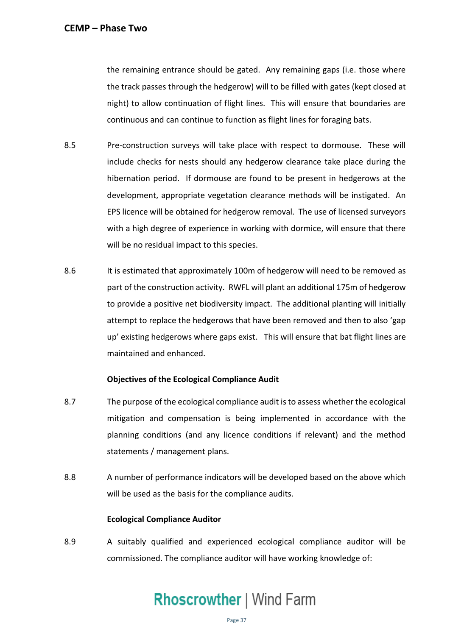the remaining entrance should be gated. Any remaining gaps (i.e. those where the track passes through the hedgerow) will to be filled with gates (kept closed at night) to allow continuation of flight lines. This will ensure that boundaries are continuous and can continue to function as flight lines for foraging bats.

- 8.5 Pre-construction surveys will take place with respect to dormouse. These will include checks for nests should any hedgerow clearance take place during the hibernation period. If dormouse are found to be present in hedgerows at the development, appropriate vegetation clearance methods will be instigated. An EPS licence will be obtained for hedgerow removal. The use of licensed surveyors with a high degree of experience in working with dormice, will ensure that there will be no residual impact to this species.
- 8.6 It is estimated that approximately 100m of hedgerow will need to be removed as part of the construction activity. RWFL will plant an additional 175m of hedgerow to provide a positive net biodiversity impact. The additional planting will initially attempt to replace the hedgerows that have been removed and then to also 'gap up' existing hedgerows where gaps exist. This will ensure that bat flight lines are maintained and enhanced.

### **Objectives of the Ecological Compliance Audit**

- 8.7 The purpose of the ecological compliance audit is to assess whether the ecological mitigation and compensation is being implemented in accordance with the planning conditions (and any licence conditions if relevant) and the method statements / management plans.
- 8.8 A number of performance indicators will be developed based on the above which will be used as the basis for the compliance audits.

### **Ecological Compliance Auditor**

 8.9 A suitably qualified and experienced ecological compliance auditor will be commissioned. The compliance auditor will have working knowledge of: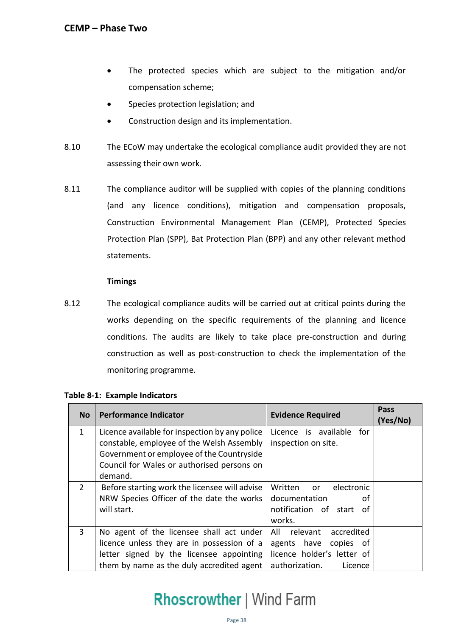- • The protected species which are subject to the mitigation and/or compensation scheme;
- Species protection legislation; and
- Construction design and its implementation.
- 8.10 The ECoW may undertake the ecological compliance audit provided they are not assessing their own work.
- 8.11 The compliance auditor will be supplied with copies of the planning conditions (and any licence conditions), mitigation and compensation proposals, Construction Environmental Management Plan (CEMP), Protected Species Protection Plan (SPP), Bat Protection Plan (BPP) and any other relevant method statements.

### **Timings**

 8.12 The ecological compliance audits will be carried out at critical points during the works depending on the specific requirements of the planning and licence conditions. The audits are likely to take place pre-construction and during construction as well as post-construction to check the implementation of the monitoring programme.

| <b>No</b>      | <b>Performance Indicator</b>                                                                                                                                                                      | <b>Evidence Required</b>                                                                                          | Pass<br>(Yes/No) |
|----------------|---------------------------------------------------------------------------------------------------------------------------------------------------------------------------------------------------|-------------------------------------------------------------------------------------------------------------------|------------------|
| $\mathbf{1}$   | Licence available for inspection by any police<br>constable, employee of the Welsh Assembly<br>Government or employee of the Countryside<br>Council for Wales or authorised persons on<br>demand. | Licence is available<br>for<br>inspection on site.                                                                |                  |
| $\overline{2}$ | Before starting work the licensee will advise<br>NRW Species Officer of the date the works<br>will start.                                                                                         | Written<br>electronic<br>or <b>or</b><br>documentation<br>οf<br>notification of start<br>of<br>works.             |                  |
| $\overline{3}$ | No agent of the licensee shall act under<br>licence unless they are in possession of a<br>letter signed by the licensee appointing<br>them by name as the duly accredited agent                   | All relevant<br>accredited<br>agents have<br>copies of<br>licence holder's letter of<br>authorization.<br>Licence |                  |

### **Table 8-1: Example Indicators**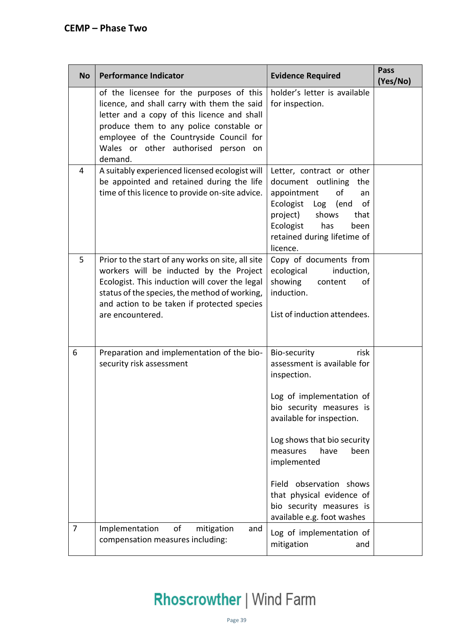| <b>No</b>      | <b>Performance Indicator</b>                                                                                                                                                                                                                                                   | <b>Evidence Required</b>                                                                                                                                                                                                                                                                                                                            | <b>Pass</b><br>(Yes/No) |
|----------------|--------------------------------------------------------------------------------------------------------------------------------------------------------------------------------------------------------------------------------------------------------------------------------|-----------------------------------------------------------------------------------------------------------------------------------------------------------------------------------------------------------------------------------------------------------------------------------------------------------------------------------------------------|-------------------------|
|                | of the licensee for the purposes of this<br>licence, and shall carry with them the said<br>letter and a copy of this licence and shall<br>produce them to any police constable or<br>employee of the Countryside Council for<br>Wales or other authorised person on<br>demand. | holder's letter is available<br>for inspection.                                                                                                                                                                                                                                                                                                     |                         |
| 4              | A suitably experienced licensed ecologist will<br>be appointed and retained during the life<br>time of this licence to provide on-site advice.                                                                                                                                 | Letter, contract or other<br>document outlining the<br>of<br>appointment<br>an<br>Ecologist<br>Log<br>(end<br>of<br>project)<br>shows<br>that<br>Ecologist<br>has<br>been<br>retained during lifetime of<br>licence.                                                                                                                                |                         |
| 5              | Prior to the start of any works on site, all site<br>workers will be inducted by the Project<br>Ecologist. This induction will cover the legal<br>status of the species, the method of working,<br>and action to be taken if protected species<br>are encountered.             | Copy of documents from<br>ecological<br>induction,<br>showing<br>content<br>of<br>induction.<br>List of induction attendees.                                                                                                                                                                                                                        |                         |
| 6              | Preparation and implementation of the bio-<br>security risk assessment                                                                                                                                                                                                         | risk<br>Bio-security<br>assessment is available for<br>inspection.<br>Log of implementation of<br>bio security measures is<br>available for inspection.<br>Log shows that bio security<br>measures<br>have<br>been<br>implemented<br>Field observation shows<br>that physical evidence of<br>bio security measures is<br>available e.g. foot washes |                         |
| $\overline{7}$ | of<br>Implementation<br>mitigation<br>and<br>compensation measures including:                                                                                                                                                                                                  | Log of implementation of<br>mitigation<br>and                                                                                                                                                                                                                                                                                                       |                         |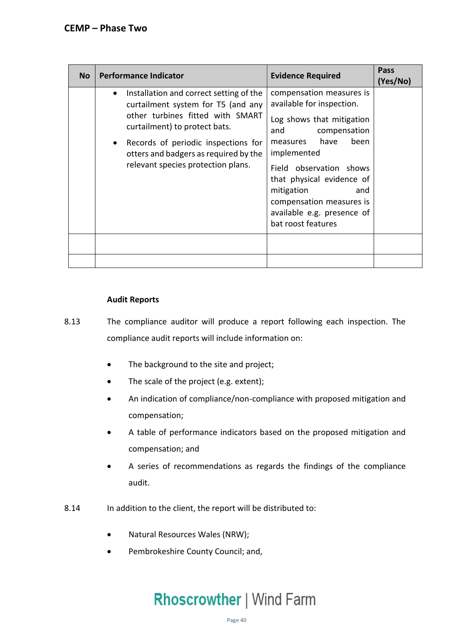| <b>No</b> | <b>Performance Indicator</b>                                                                                                                                                                                                                                                          | <b>Evidence Required</b>                                                                                                                                                                                                                                                                                          | Pass<br>(Yes/No) |
|-----------|---------------------------------------------------------------------------------------------------------------------------------------------------------------------------------------------------------------------------------------------------------------------------------------|-------------------------------------------------------------------------------------------------------------------------------------------------------------------------------------------------------------------------------------------------------------------------------------------------------------------|------------------|
|           | Installation and correct setting of the<br>$\bullet$<br>curtailment system for T5 (and any<br>other turbines fitted with SMART<br>curtailment) to protect bats.<br>Records of periodic inspections for<br>otters and badgers as required by the<br>relevant species protection plans. | compensation measures is<br>available for inspection.<br>Log shows that mitigation<br>and<br>compensation<br>have<br>been<br>measures<br>implemented<br>Field observation shows<br>that physical evidence of<br>mitigation<br>and<br>compensation measures is<br>available e.g. presence of<br>bat roost features |                  |
|           |                                                                                                                                                                                                                                                                                       |                                                                                                                                                                                                                                                                                                                   |                  |
|           |                                                                                                                                                                                                                                                                                       |                                                                                                                                                                                                                                                                                                                   |                  |

### **Audit Reports**

- 8.13 The compliance auditor will produce a report following each inspection. The compliance audit reports will include information on:
	- The background to the site and project;
	- The scale of the project (e.g. extent);
	- • An indication of compliance/non-compliance with proposed mitigation and compensation;
	- • A table of performance indicators based on the proposed mitigation and compensation; and
	- A series of recommendations as regards the findings of the compliance audit.
- 8.14 In addition to the client, the report will be distributed to:
	- Natural Resources Wales (NRW);
	- Pembrokeshire County Council; and,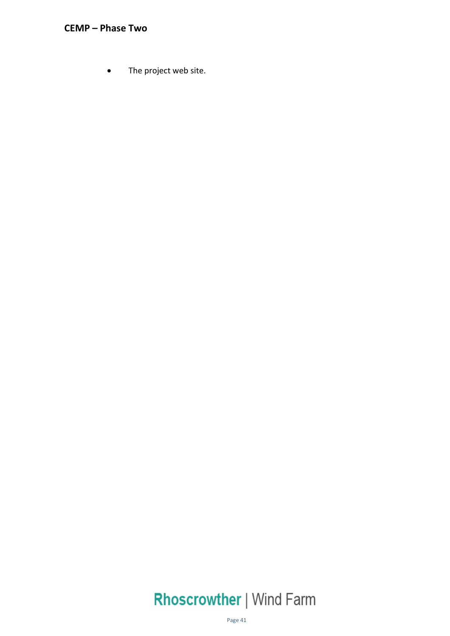• The project web site.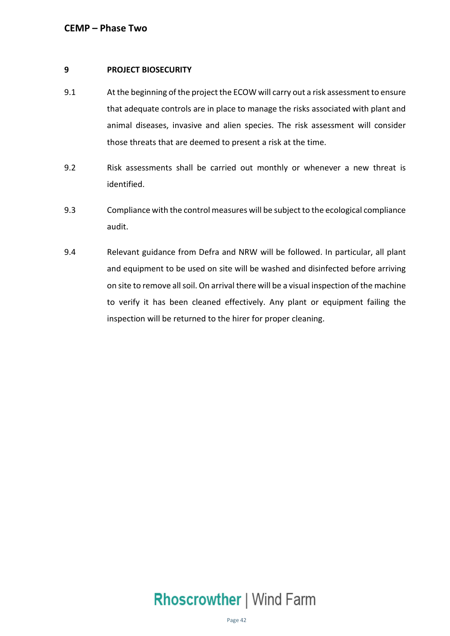### **9 PROJECT BIOSECURITY**

- 9.1 At the beginning of the project the ECOW will carry out a risk assessment to ensure that adequate controls are in place to manage the risks associated with plant and animal diseases, invasive and alien species. The risk assessment will consider those threats that are deemed to present a risk at the time.
- 9.2 Risk assessments shall be carried out monthly or whenever a new threat is identified.
- 9.3 Compliance with the control measures will be subject to the ecological compliance audit.
- 9.4 Relevant guidance from Defra and NRW will be followed. In particular, all plant and equipment to be used on site will be washed and disinfected before arriving on site to remove all soil. On arrival there will be a visual inspection of the machine to verify it has been cleaned effectively. Any plant or equipment failing the inspection will be returned to the hirer for proper cleaning.